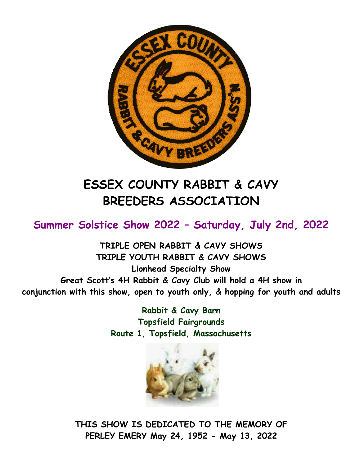

# **ESSEX COUNTY RABBIT & CAVY BREEDERS ASSOCIATION**

**Summer Solstice Show 2022 – Saturday, July 2nd, 2022** 

**TRIPLE OPEN RABBIT & CAVY SHOWS TRIPLE YOUTH RABBIT & CAVY SHOWS Lionhead Specialty Show Great Scott's 4H Rabbit & Cavy Club will hold a 4H show in conjunction with this show, open to youth only, & hopping for youth and adults**

> **Rabbit & Cavy Barn Topsfield Fairgrounds Route 1, Topsfield, Massachusetts**



**THIS SHOW IS DEDICATED TO THE MEMORY OF PERLEY EMERY May 24, 1952 - May 13, 2022**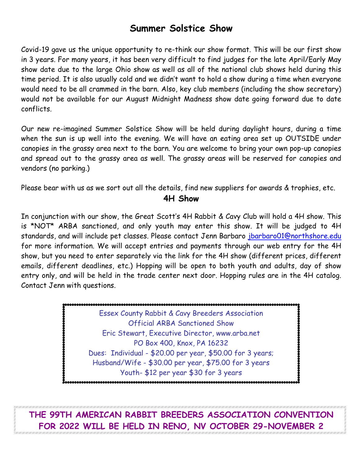# **Summer Solstice Show**

Covid-19 gave us the unique opportunity to re-think our show format. This will be our first show in 3 years. For many years, it has been very difficult to find judges for the late April/Early May show date due to the large Ohio show as well as all of the national club shows held during this time period. It is also usually cold and we didn't want to hold a show during a time when everyone would need to be all crammed in the barn. Also, key club members (including the show secretary) would not be available for our August Midnight Madness show date going forward due to date conflicts.

Our new re-imagined Summer Solstice Show will be held during daylight hours, during a time when the sun is up well into the evening. We will have an eating area set up OUTSIDE under canopies in the grassy area next to the barn. You are welcome to bring your own pop-up canopies and spread out to the grassy area as well. The grassy areas will be reserved for canopies and vendors (no parking.)

Please bear with us as we sort out all the details, find new suppliers for awards & trophies, etc.

#### **4H Show**

In conjunction with our show, the Great Scott's 4H Rabbit & Cavy Club will hold a 4H show. This is \*NOT\* ARBA sanctioned, and only youth may enter this show. It will be judged to 4H standards, and will include pet classes. Please contact Jenn Barbaro [jbarbaro01@northshore.edu](mailto:jbarbaro01@northshore.edu) for more information. We will accept entries and payments through our web entry for the 4H show, but you need to enter separately via the link for the 4H show (different prices, different emails, different deadlines, etc.) Hopping will be open to both youth and adults, day of show entry only, and will be held in the trade center next door. Hopping rules are in the 4H catalog. Contact Jenn with questions.

> Essex County Rabbit & Cavy Breeders Association Official ARBA Sanctioned Show Eric Stewart, Executive Director, www.arba.net PO Box 400, Knox, PA 16232 Dues: Individual - \$20.00 per year, \$50.00 for 3 years; Husband/Wife - \$30.00 per year, \$75.00 for 3 years Youth- \$12 per year \$30 for 3 years

**THE 99TH AMERICAN RABBIT BREEDERS ASSOCIATION CONVENTION FOR 2022 WILL BE HELD IN RENO, NV OCTOBER 29-NOVEMBER 2**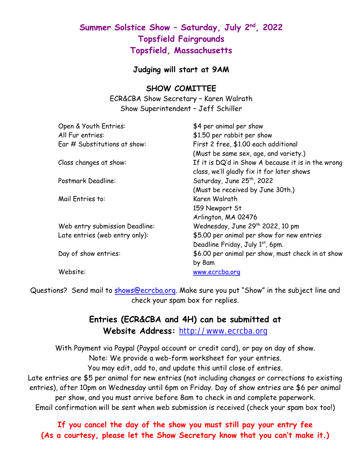## **Summer Solstice Show – Saturday, July 2nd, 2022 Topsfield Fairgrounds Topsfield, Massachusetts**

#### **Judging will start at 9AM**

#### **SHOW COMITTEE**

ECR&CBA Show Secretary – Karen Walrath Show Superintendent – Jeff Schiller

| Open & Youth Entries:          | \$4 per animal per show                            |
|--------------------------------|----------------------------------------------------|
| All Fur entries:               | \$1.50 per rabbit per show                         |
| Ear # Substitutions at show:   | First 2 free, \$1.00 each additional               |
|                                | (Must be same sex, age, and variety.)              |
| Class changes at show:         | If it is DQ'd in Show A because it is in the wrong |
|                                | class, we'll gladly fix it for later shows         |
| Postmark Deadline:             | Saturday, June 25 <sup>th</sup> , 2022             |
|                                | (Must be received by June 30th.)                   |
| Mail Entries to:               | Karen Walrath                                      |
|                                | 159 Newport St                                     |
|                                | Arlington, MA 02476                                |
| Web entry submission Deadline: | Wednesday, June 29 <sup>th</sup> 2022, 10 pm       |
| Late entries (web entry only): | \$5.00 per animal per show for new entries         |
|                                | Deadline Friday, July 1st, 6pm.                    |
| Day of show entries:           | \$6.00 per animal per show, must check in at show  |
|                                | by 8am                                             |
| Website:                       | www.ecrcba.org                                     |
|                                |                                                    |

Questions? Send mail to [shows@ecrcba.org.](mailto:shows@ecrcba.org) Make sure you put "Show" in the subject line and check your spam box for replies.

### **Entries (ECR&CBA and 4H) can be submitted at Website Address:** [http://www.ecrcba.org](http://www.ecrcba.org/)

With Payment via Paypal (Paypal account or credit card), or pay on day of show. Note: We provide a web-form worksheet for your entries.

You may edit, add to, and update this until close of entries.

Late entries are \$5 per animal for new entries (not including changes or corrections to existing entries), after 10pm on Wednesday until 6pm on Friday. Day of show entries are \$6 per animal per show, and you must arrive before 8am to check in and complete paperwork.

Email confirmation will be sent when web submission is received (check your spam box too!)

**If you cancel the day of the show you must still pay your entry fee (As a courtesy, please let the Show Secretary know that you can't make it.)**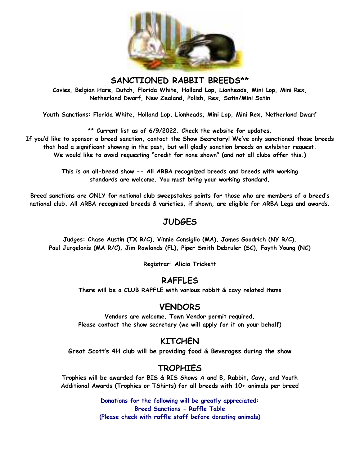

**SANCTIONED RABBIT BREEDS\*\***

**Cavies, Belgian Hare, Dutch, Florida White, Holland Lop, Lionheads, Mini Lop, Mini Rex, Netherland Dwarf, New Zealand, Polish, Rex, Satin/Mini Satin**

**Youth Sanctions: Florida White, Holland Lop, Lionheads, Mini Lop, Mini Rex, Netherland Dwarf**

**\*\* Current list as of 6/9/2022. Check the website for updates.** 

**If you'd like to sponsor a breed sanction, contact the Show Secretary! We've only sanctioned those breeds that had a significant showing in the past, but will gladly sanction breeds on exhibitor request. We would like to avoid requesting "credit for none shown" (and not all clubs offer this.)**

> **This is an all-breed show -- All ARBA recognized breeds and breeds with working standards are welcome. You must bring your working standard.**

**Breed sanctions are ONLY for national club sweepstakes points for those who are members of a breed's national club. All ARBA recognized breeds & varieties, if shown, are eligible for ARBA Legs and awards.**

#### **JUDGES**

**Judges: Chase Austin (TX R/C), Vinnie Consiglio (MA), James Goodrich (NY R/C), Paul Jurgelonis (MA R/C), Jim Rowlands (FL), Piper Smith Debruler (SC), Fayth Young (NC)**

**Registrar: Alicia Trickett**

#### **RAFFLES**

**There will be a CLUB RAFFLE with various rabbit & cavy related items**

#### **VENDORS**

**Vendors are welcome. Town Vendor permit required. Please contact the show secretary (we will apply for it on your behalf)**

#### **KITCHEN**

**Great Scott's 4H club will be providing food & Beverages during the show**

#### **TROPHIES**

**Trophies will be awarded for BIS & RIS Shows A and B, Rabbit, Cavy, and Youth Additional Awards (Trophies or TShirts) for all breeds with 10+ animals per breed**

> **Donations for the following will be greatly appreciated: Breed Sanctions - Raffle Table (Please check with raffle staff before donating animals)**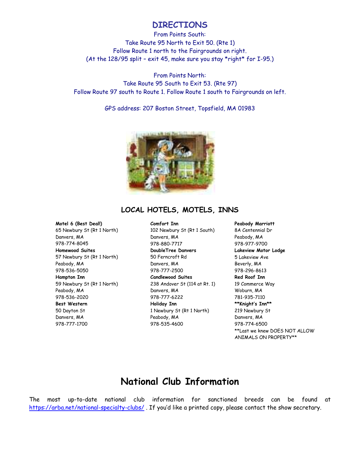#### **DIRECTIONS**

From Points South: Take Route 95 North to Exit 50. (Rte 1) Follow Route 1 north to the Fairgrounds on right. (At the 128/95 split – exit 45, make sure you stay \*right\* for I-95.)

From Points North: Take Route 95 South to Exit 53. (Rte 97) Follow Route 97 south to Route 1. Follow Route 1 south to Fairgrounds on left.

GPS address: 207 Boston Street, Topsfield, MA 01983



#### **LOCAL HOTELS, MOTELS, INNS**

#### **Motel 6 (Best Deal!)**

65 Newbury St (Rt 1 North) Danvers, MA 978-774-8045 **Homewood Suites** 57 Newbury St (Rt 1 North) Peabody, MA 978-536-5050 **Hampton Inn** 59 Newbury St (Rt 1 North) Peabody, MA 978-536-2020 **Best Western** 50 Dayton St Danvers, MA 978-777-1700

**Comfort Inn** 102 Newbury St (Rt 1 South) Danvers, MA 978-880-7717 **DoubleTree Danvers** 50 Ferncroft Rd Danvers, MA 978-777-2500 **Candlewood Suites** 238 Andover St (114 at Rt. 1) Danvers, MA 978-777-6222 **Holiday Inn** 1 Newbury St (Rt 1 North) Peabody, MA 978-535-4600

**Peabody Marriott** 8A Centennial Dr Peabody, MA 978-977-9700 **Lakeview Motor Lodge** 5 Lakeview Ave Beverly, MA 978-296-8613 **Red Roof Inn** 19 Commerce Way Woburn, MA 781-935-7110 **\*\*Knight's Inn\*\*** 219 Newbury St Danvers, MA 978-774-6500 \*\*Last we knew DOES NOT ALLOW ANIMALS ON PROPERTY\*\*

## **National Club Information**

The most up-to-date national club information for sanctioned breeds can be found at <https://arba.net/national-specialty-clubs/> . If you'd like a printed copy, please contact the show secretary.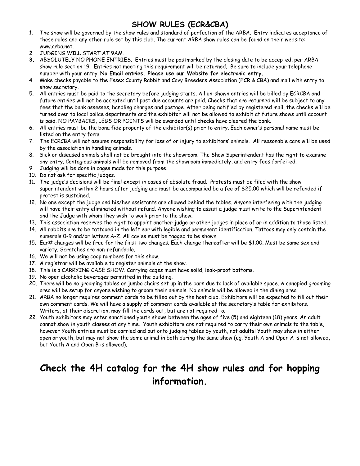## **SHOW RULES (ECR&CBA)**

- 1. The show will be governed by the show rules and standard of perfection of the ARBA. Entry indicates acceptance of these rules and any other rule set by this club. The current ARBA show rules can be found on their website: www.arba.net.
- 2. JUDGING WILL START AT 9AM.
- **3.** ABSOLUTELY NO PHONE ENTRIES. Entries must be postmarked by the closing date to be accepted, per ARBA show rule section 19. Entries not meeting this requirement will be returned. Be sure to include your telephone number with your entry. **No Email entries. Please use our Website for electronic entry.**
- 4. Make checks payable to the Essex County Rabbit and Cavy Breeders Association (ECR & CBA) and mail with entry to show secretary.
- 5. All entries must be paid to the secretary before judging starts. All un-shown entries will be billed by ECRCBA and future entries will not be accepted until past due accounts are paid. Checks that are returned will be subject to any fees that the bank assesses, handling charges and postage. After being notified by registered mail, the checks will be turned over to local police departments and the exhibitor will not be allowed to exhibit at future shows until account is paid. NO PAYBACKS, LEGS OR POINTS will be awarded until checks have cleared the bank.
- 6. All entries must be the bona fide property of the exhibitor(s) prior to entry. Each owner's personal name must be listed on the entry form.
- 7. The ECRCBA will not assume responsibility for loss of or injury to exhibitors' animals. All reasonable care will be used by the association in handling animals.
- 8. Sick or diseased animals shall not be brought into the showroom. The Show Superintendent has the right to examine any entry. Contagious animals will be removed from the showroom immediately, and entry fees forfeited.
- 9. Judging will be done in cages made for this purpose.
- 10. Do not ask for specific judges.
- 11. The judge's decisions will be final except in cases of absolute fraud. Protests must be filed with the show superintendent within 2 hours after judging and must be accompanied be a fee of \$25.00 which will be refunded if protest is sustained.
- 12. No one except the judge and his/her assistants are allowed behind the tables. Anyone interfering with the judging will have their entry eliminated without refund. Anyone wishing to assist a judge must write to the Superintendent and the Judge with whom they wish to work prior to the show.
- 13. This association reserves the right to appoint another judge or other judges in place of or in addition to those listed.
- 14. All rabbits are to be tattooed in the left ear with legible and permanent identification. Tattoos may only contain the numerals 0-9 and/or letters A-Z. All cavies must be tagged to be shown.
- 15. Ear# changes will be free for the first two changes. Each change thereafter will be \$1.00. Must be same sex and variety. Scratches are non-refundable.
- 16. We will not be using coop numbers for this show.
- 17. A registrar will be available to register animals at the show.
- 18. This is a CARRYING CASE SHOW. Carrying cages must have solid, leak-proof bottoms.
- 19. No open alcoholic beverages permitted in the building.
- 20. There will be no grooming tables or jumbo chairs set up in the barn due to lack of available space. A canopied grooming area will be setup for anyone wishing to groom their animals. No animals will be allowed in the dining area.
- 21. ARBA no longer requires comment cards to be filled out by the host club. Exhibitors will be expected to fill out their own comment cards. We will have a supply of comment cards available at the secretary's table for exhibitors. Writers, at their discretion, may fill the cards out, but are not required to.
- 22. Youth exhibitors may enter sanctioned youth shows between the ages of five (5) and eighteen (18) years. An adult cannot show in youth classes at any time. Youth exhibitors are not required to carry their own animals to the table, however Youth entries must be carried and put onto judging tables by youth, not adults! Youth may show in either open or youth, but may not show the same animal in both during the same show (eg. Youth A and Open A is not allowed, but Youth A and Open B is allowed).

# **Check the 4H catalog for the 4H show rules and for hopping information.**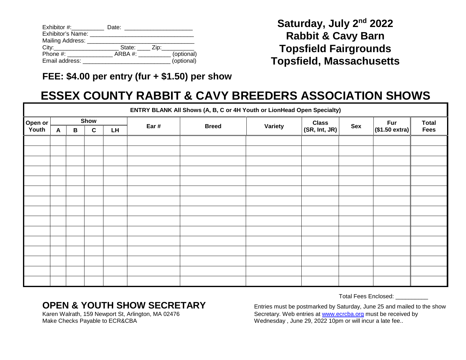| $Exhibitor \#:$              | Date:                |            |
|------------------------------|----------------------|------------|
| Exhibitor's Name:            |                      |            |
| Mailing Address: ___________ |                      |            |
| City:                        | State: Zip: ________ |            |
| Phone #:                     | ARBA #:              | (optional) |
| Email address:               |                      | (optional) |

**Saturday, July 2nd 2022 Rabbit & Cavy Barn Topsfield Fairgrounds Topsfield, Massachusetts**

## **FEE: \$4.00 per entry (fur + \$1.50) per show**

# **ESSEX COUNTY RABBIT & CAVY BREEDERS ASSOCIATION SHOWS**

|                  | ENTRY BLANK All Shows (A, B, C or 4H Youth or LionHead Open Specialty) |              |             |           |       |              |                |               |     |                |              |
|------------------|------------------------------------------------------------------------|--------------|-------------|-----------|-------|--------------|----------------|---------------|-----|----------------|--------------|
| Open or<br>Youth | Show                                                                   |              |             |           | Ear # | <b>Breed</b> | <b>Variety</b> | <b>Class</b>  | Sex | <b>Fur</b>     | <b>Total</b> |
|                  | $\mathbf{A}$                                                           | $\, {\bf B}$ | $\mathbf c$ | <b>LH</b> |       |              |                | (SR, Int, JR) |     | (\$1.50 extra) | <b>Fees</b>  |
|                  |                                                                        |              |             |           |       |              |                |               |     |                |              |
|                  |                                                                        |              |             |           |       |              |                |               |     |                |              |
|                  |                                                                        |              |             |           |       |              |                |               |     |                |              |
|                  |                                                                        |              |             |           |       |              |                |               |     |                |              |
|                  |                                                                        |              |             |           |       |              |                |               |     |                |              |
|                  |                                                                        |              |             |           |       |              |                |               |     |                |              |
|                  |                                                                        |              |             |           |       |              |                |               |     |                |              |
|                  |                                                                        |              |             |           |       |              |                |               |     |                |              |
|                  |                                                                        |              |             |           |       |              |                |               |     |                |              |
|                  |                                                                        |              |             |           |       |              |                |               |     |                |              |
|                  |                                                                        |              |             |           |       |              |                |               |     |                |              |
|                  |                                                                        |              |             |           |       |              |                |               |     |                |              |
|                  |                                                                        |              |             |           |       |              |                |               |     |                |              |
|                  |                                                                        |              |             |           |       |              |                |               |     |                |              |
|                  |                                                                        |              |             |           |       |              |                |               |     |                |              |
|                  |                                                                        |              |             |           |       |              |                |               |     |                |              |

Total Fees Enclosed: \_\_\_\_\_\_\_\_\_\_

**OPEN & YOUTH SHOW SECRETARY** Entries must be postmarked by Saturday, June 25 and mailed to the show Karen Walrath, 159 Newport St, Arlington, MA 02476 Karen Walrath, 159 Newport St, Arlington, MA 02476 Secretary. Web entries at [www.ecrcba.org](http://www.ecrcba.org/) must be received by<br>Make Checks Payable to ECR&CBA Secretary and Mednesday, June 29, 2022 10pm or will incur a late fee.. Wednesday, June 29, 2022 10pm or will incur a late fee..